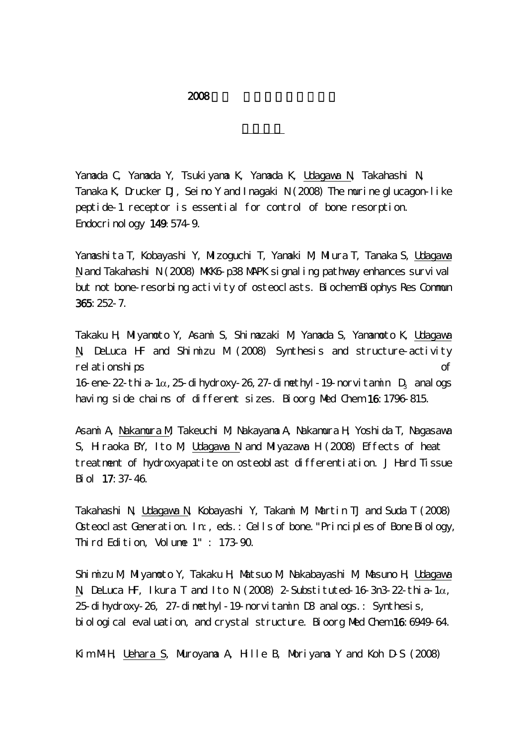Yamada C, Yamada Y, Tsukiyama K, Yamada K, Udagawa N, Takahashi N, Tanaka K, Drucker DJ, Seino Y and Inagaki N (2008) The murine glucagon-like peptide-1 receptor is essential for control of bone resorption. Endocrinology 149:574-9.

Yamashita T, Kobayashi Y, Mizoguchi T, Yamaki M, Miura T, Tanaka S, Udagawa N and Takahashi N (2008) MKKG p38 MAPK signaling pathway enhances survival but not bone-resorbing activity of osteoclasts. Biochem Biophys Res Commun 365:252-7.

Takaku H, Miyamoto Y, Asami S, Shimazaki M, Yamada S, Yamamoto K, Udagawa N, DeLuca HF and Shimizu M (2008) Synthesis and structure-activity relationships of 16-ene-22-thia-1 $\alpha$ , 25-dihydroxy-26, 27-dimethyl-19-norvitamin D<sub>3</sub> analogs having side chains of different sizes. Bioorg Med Chem 16:1796-815.

Asami A, Nakamura M, Takeuchi M, Nakayama A, Nakamura H, Yoshida T, Nagasawa S, Hiraoka BY, Ito M, Udagawa N and Miyazawa H (2008) Effects of heat treatment of hydroxyapatite on osteoblast differentiation. J Hard Tissue Biol 17:37-46.

Takahashi N, Udagawa N, Kobayashi Y, Takami M, Martin TJ and Suda T (2008) Osteoclast Generation. In:, eds.: Cells of bone."Principles of Bone Biology, Third Edition, Volume 1" : 173-90.

Shimizu M, Miyamoto Y, Takaku H, Matsuo M, Nakabayashi M, Masuno H, Udagawa N, DeLuca HF, Ikura T and Ito N (2008) 2-Substituted-16-3n3-22-thia-1α, 25-dihydroxy-26, 27-dimethyl-19-norvitamin D3 analogs.: Synthesis, biological evaluation, and crystal structure. Bioorg Med Chem 16:6949-64.

Kim M-H, Uehara S, Muroyama A, Hille B, Moriyama Y and Koh D-S (2008)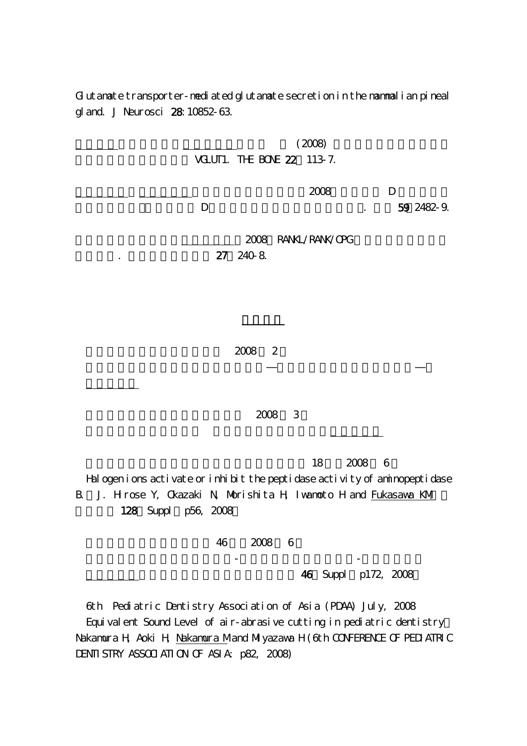Gutanate transporter-nediated glutanate secretion in the nammalian pineal gland. J Neurosci 28:10852-63.



46 Suppl p172, 2008

6th Pediatric Dentistry Association of Asia (PDAA) July, 2008

Equivalent Sound Level of air-abrasive cutting in pediatric dentistry: Nakamura H, Aoki H, Nakamura Mand Miyazawa H (6th CONFERENCE OF PEDIATRIC DENTI STRY ASSOCI ATI ON OF ASI A p82, 2008)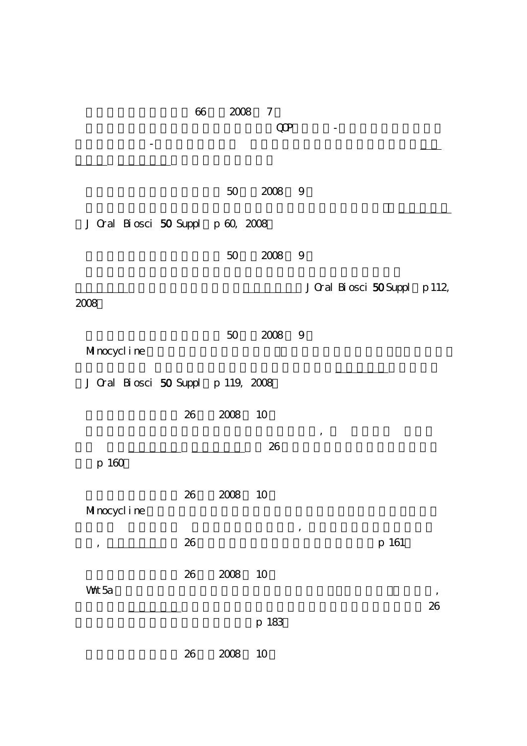|                                    | 66     | 2008 | 7             |                               |    |
|------------------------------------|--------|------|---------------|-------------------------------|----|
|                                    |        |      | $\mathbb{Q}P$ |                               |    |
|                                    |        |      |               |                               |    |
|                                    |        |      |               |                               |    |
|                                    |        | 50   | 2008          | 9                             |    |
|                                    |        |      |               |                               |    |
| J Cral Biosci 50 Suppl p 60, 2008  |        |      |               |                               |    |
|                                    |        |      |               |                               |    |
|                                    |        | 50   | 2008          | 9                             |    |
|                                    |        |      |               | J Cral Biosci 50 Suppl p 112, |    |
| 2008                               |        |      |               |                               |    |
|                                    |        |      |               |                               |    |
| Minocycline                        |        | 50   | 2008          | 9                             |    |
|                                    |        |      |               |                               |    |
| J Cral Biosci 50 Suppl p 119, 2008 |        |      |               |                               |    |
|                                    |        |      |               |                               |    |
|                                    | 26     | 2008 | 10            |                               |    |
|                                    |        |      | 26            | ,                             |    |
| p 160                              |        |      |               |                               |    |
|                                    |        |      |               |                               |    |
| Minocycline                        | 26     | 2008 | 10            |                               |    |
|                                    |        |      |               | $\pmb{\cdot}$                 |    |
| ,                                  | 26     |      |               | p 161                         |    |
|                                    |        |      |               |                               |    |
| Wht 5a                             | $26\,$ | 2008 | 10            |                               |    |
|                                    |        |      |               |                               | 26 |
|                                    |        |      | p 183         |                               |    |
|                                    |        |      |               |                               |    |
|                                    | $26\,$ | 2008 | 10            |                               |    |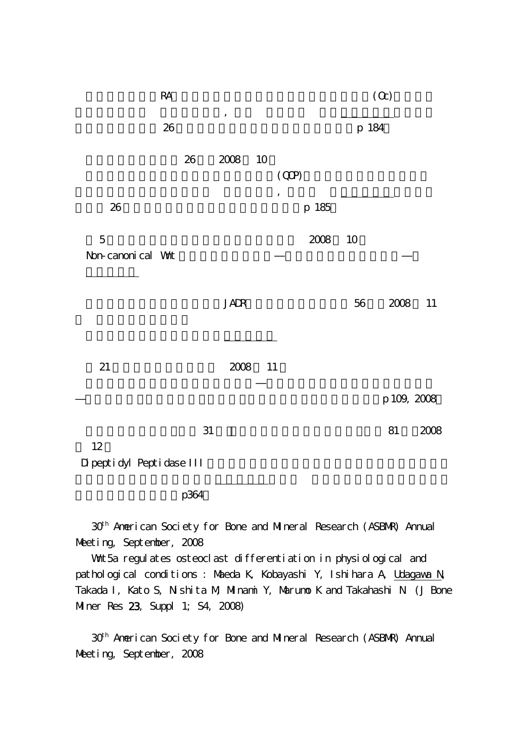|                                   | $\mathsf{RA}$ |        |          |    |        |          |        | $\left( \Omega \right)$ |        |
|-----------------------------------|---------------|--------|----------|----|--------|----------|--------|-------------------------|--------|
|                                   | $26\,$        |        | $\, ,$   |    |        |          | p 184  |                         |        |
|                                   |               | $26\,$ | 2008     | 10 | (QP)   |          |        |                         |        |
| $26\,$                            |               |        |          |    | $\, ,$ | p 185    |        |                         |        |
| $\mathbf 5$<br>Non-canonical Wat  |               |        |          |    |        | $2008\,$ | 10     |                         |        |
|                                   |               |        | JADR     |    |        |          | $5\!6$ | $2008\,$                | $11\,$ |
| 21                                |               |        | $2008\,$ | 11 |        |          |        |                         |        |
|                                   |               |        |          |    |        |          |        | p 109, 2008             |        |
| 12<br>Di pepti dyl Pepti dase III |               | 31     |          |    |        |          |        | 81                      | 2008   |

p364

30th American Society for Bone and Mineral Research (ASBMR) Annual Meeting, September, 2008

失わないのか?:廣瀬順造,深澤加與子,北原 卓,池浦知宏,川岡知恵,岩

What 5a regulates osteoclast differentiation in physiological and pathological conditions : Maeda K, Kobayashi Y, Ishihara A, <u>Udagawa N</u>, Takada I, Kato S, Nishita M, Minami Y, Marumo K and Takahashi N (J Bone Miner Res 23, Suppl 1; S4, 2008)

30th American Society for Bone and Mineral Research (ASBMR) Annual Meeting, September, 2008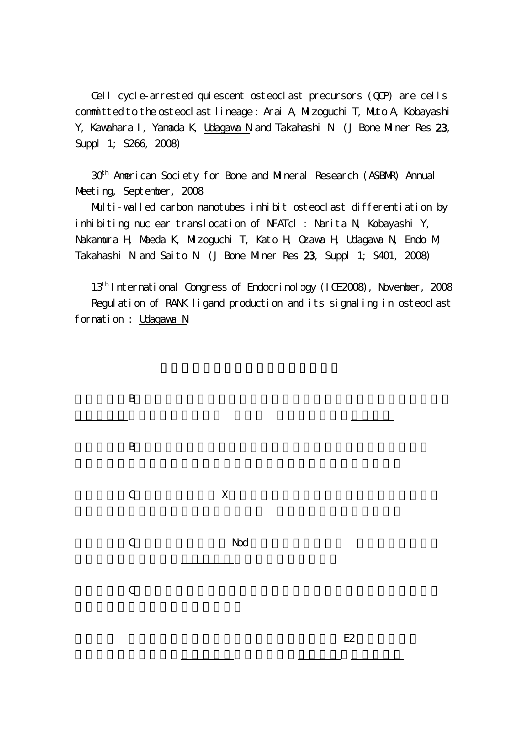Cell cycle-arrested quiescent osteoclast precursors (QQP) are cells committed to the osteoclast lineage : Arai A, Mizoguchi T, Muto A, Kobayashi Y, Kawahara I, Yamada K, Udagawa N and Takahashi N (J Bone Miner Res 23, Suppl 1; S266, 2008)

30th American Society for Bone and Mineral Research (ASBMR) Annual Meeting, September, 2008

Multi-walled carbon nanotubes inhibit osteoclast differentiation by inhibiting nuclear translocation of NFATcl : Narita N, Kobayashi Y, Nakamura H, Maeda K, Mizoguchi T, Kato H, Ozawa H, Udagawa N, Endo M, Takahashi N and Saito N (J Bone Miner Res 23, Suppl 1; S401, 2008)

13th International Congress of Endocrinology (ICE2008), November, 2008 Regulation of RANK ligand production and its signaling in osteoclast formation : Udagawa N